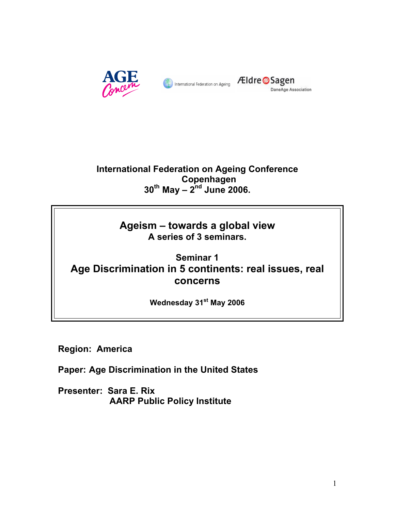



# **International Federation on Ageing Conference Copenhagen 30th May – 2nd June 2006.**

# **Ageism – towards a global view A series of 3 seminars.**

# **Seminar 1 Age Discrimination in 5 continents: real issues, real concerns**

**Wednesday 31st May 2006** 

**Region: America** 

**Paper: Age Discrimination in the United States** 

**Presenter: Sara E. Rix AARP Public Policy Institute**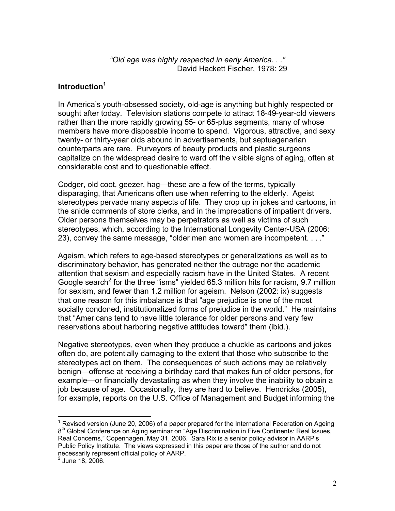*"Old age was highly respected in early America. . ."*  David Hackett Fischer, 1978: 29

### **Introduction1**

In America's youth-obsessed society, old-age is anything but highly respected or sought after today. Television stations compete to attract 18-49-year-old viewers rather than the more rapidly growing 55- or 65-plus segments, many of whose members have more disposable income to spend. Vigorous, attractive, and sexy twenty- or thirty-year olds abound in advertisements, but septuagenarian counterparts are rare. Purveyors of beauty products and plastic surgeons capitalize on the widespread desire to ward off the visible signs of aging, often at considerable cost and to questionable effect.

Codger, old coot, geezer, hag—these are a few of the terms, typically disparaging, that Americans often use when referring to the elderly. Ageist stereotypes pervade many aspects of life. They crop up in jokes and cartoons, in the snide comments of store clerks, and in the imprecations of impatient drivers. Older persons themselves may be perpetrators as well as victims of such stereotypes, which, according to the International Longevity Center-USA (2006: 23), convey the same message, "older men and women are incompetent. . . ."

Ageism, which refers to age-based stereotypes or generalizations as well as to discriminatory behavior, has generated neither the outrage nor the academic attention that sexism and especially racism have in the United States. A recent Google search<sup>2</sup> for the three "isms" yielded 65.3 million hits for racism, 9.7 million for sexism, and fewer than 1.2 million for ageism. Nelson (2002: ix) suggests that one reason for this imbalance is that "age prejudice is one of the most socially condoned, institutionalized forms of prejudice in the world." He maintains that "Americans tend to have little tolerance for older persons and very few reservations about harboring negative attitudes toward" them (ibid.).

Negative stereotypes, even when they produce a chuckle as cartoons and jokes often do, are potentially damaging to the extent that those who subscribe to the stereotypes act on them. The consequences of such actions may be relatively benign—offense at receiving a birthday card that makes fun of older persons, for example—or financially devastating as when they involve the inability to obtain a job because of age. Occasionally, they are hard to believe. Hendricks (2005), for example, reports on the U.S. Office of Management and Budget informing the

 $\overline{a}$ <sup>1</sup> Revised version (June 20, 2006) of a paper prepared for the International Federation on Ageing  $8<sup>th</sup>$  Global Conference on Aging seminar on "Age Discrimination in Five Continents: Real Issues, Real Concerns," Copenhagen, May 31, 2006. Sara Rix is a senior policy advisor in AARP's Public Policy Institute. The views expressed in this paper are those of the author and do not necessarily represent official policy of AARP.<br><sup>2</sup> June 18, 2006.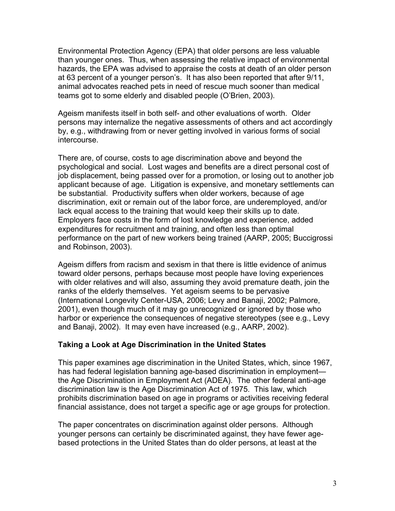Environmental Protection Agency (EPA) that older persons are less valuable than younger ones. Thus, when assessing the relative impact of environmental hazards, the EPA was advised to appraise the costs at death of an older person at 63 percent of a younger person's. It has also been reported that after 9/11, animal advocates reached pets in need of rescue much sooner than medical teams got to some elderly and disabled people (O'Brien, 2003).

Ageism manifests itself in both self- and other evaluations of worth. Older persons may internalize the negative assessments of others and act accordingly by, e.g., withdrawing from or never getting involved in various forms of social intercourse.

There are, of course, costs to age discrimination above and beyond the psychological and social. Lost wages and benefits are a direct personal cost of job displacement, being passed over for a promotion, or losing out to another job applicant because of age. Litigation is expensive, and monetary settlements can be substantial. Productivity suffers when older workers, because of age discrimination, exit or remain out of the labor force, are underemployed, and/or lack equal access to the training that would keep their skills up to date. Employers face costs in the form of lost knowledge and experience, added expenditures for recruitment and training, and often less than optimal performance on the part of new workers being trained (AARP, 2005; Buccigrossi and Robinson, 2003).

Ageism differs from racism and sexism in that there is little evidence of animus toward older persons, perhaps because most people have loving experiences with older relatives and will also, assuming they avoid premature death, join the ranks of the elderly themselves. Yet ageism seems to be pervasive (International Longevity Center-USA, 2006; Levy and Banaji, 2002; Palmore, 2001), even though much of it may go unrecognized or ignored by those who harbor or experience the consequences of negative stereotypes (see e.g., Levy and Banaji, 2002). It may even have increased (e.g., AARP, 2002).

#### **Taking a Look at Age Discrimination in the United States**

This paper examines age discrimination in the United States, which, since 1967, has had federal legislation banning age-based discrimination in employment the Age Discrimination in Employment Act (ADEA). The other federal anti-age discrimination law is the Age Discrimination Act of 1975. This law, which prohibits discrimination based on age in programs or activities receiving federal financial assistance, does not target a specific age or age groups for protection.

The paper concentrates on discrimination against older persons. Although younger persons can certainly be discriminated against, they have fewer agebased protections in the United States than do older persons, at least at the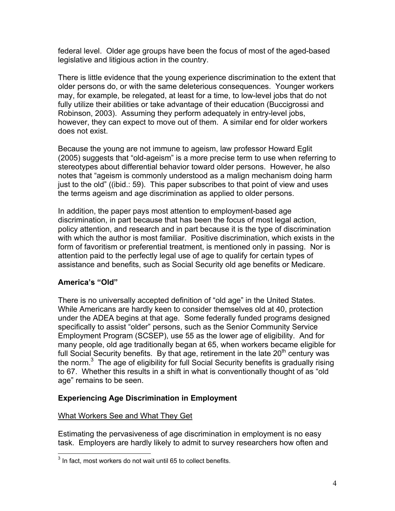federal level. Older age groups have been the focus of most of the aged-based legislative and litigious action in the country.

There is little evidence that the young experience discrimination to the extent that older persons do, or with the same deleterious consequences. Younger workers may, for example, be relegated, at least for a time, to low-level jobs that do not fully utilize their abilities or take advantage of their education (Buccigrossi and Robinson, 2003). Assuming they perform adequately in entry-level jobs, however, they can expect to move out of them. A similar end for older workers does not exist.

Because the young are not immune to ageism, law professor Howard Eglit (2005) suggests that "old-ageism" is a more precise term to use when referring to stereotypes about differential behavior toward older persons. However, he also notes that "ageism is commonly understood as a malign mechanism doing harm just to the old" ((ibid.: 59). This paper subscribes to that point of view and uses the terms ageism and age discrimination as applied to older persons.

In addition, the paper pays most attention to employment-based age discrimination, in part because that has been the focus of most legal action, policy attention, and research and in part because it is the type of discrimination with which the author is most familiar. Positive discrimination, which exists in the form of favoritism or preferential treatment, is mentioned only in passing. Nor is attention paid to the perfectly legal use of age to qualify for certain types of assistance and benefits, such as Social Security old age benefits or Medicare.

# **America's "Old"**

There is no universally accepted definition of "old age" in the United States. While Americans are hardly keen to consider themselves old at 40, protection under the ADEA begins at that age. Some federally funded programs designed specifically to assist "older" persons, such as the Senior Community Service Employment Program (SCSEP), use 55 as the lower age of eligibility. And for many people, old age traditionally began at 65, when workers became eligible for full Social Security benefits. By that age, retirement in the late  $20<sup>th</sup>$  century was the norm. $3$  The age of eligibility for full Social Security benefits is gradually rising to 67. Whether this results in a shift in what is conventionally thought of as "old age" remains to be seen.

# **Experiencing Age Discrimination in Employment**

# What Workers See and What They Get

Estimating the pervasiveness of age discrimination in employment is no easy task. Employers are hardly likely to admit to survey researchers how often and

 3 In fact, most workers do not wait until 65 to collect benefits.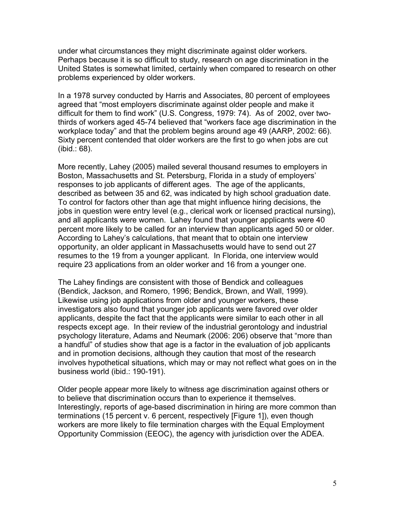under what circumstances they might discriminate against older workers. Perhaps because it is so difficult to study, research on age discrimination in the United States is somewhat limited, certainly when compared to research on other problems experienced by older workers.

In a 1978 survey conducted by Harris and Associates, 80 percent of employees agreed that "most employers discriminate against older people and make it difficult for them to find work" (U.S. Congress, 1979: 74). As of 2002, over twothirds of workers aged 45-74 believed that "workers face age discrimination in the workplace today" and that the problem begins around age 49 (AARP, 2002: 66). Sixty percent contended that older workers are the first to go when jobs are cut (ibid.: 68).

More recently, Lahey (2005) mailed several thousand resumes to employers in Boston, Massachusetts and St. Petersburg, Florida in a study of employers' responses to job applicants of different ages. The age of the applicants, described as between 35 and 62, was indicated by high school graduation date. To control for factors other than age that might influence hiring decisions, the jobs in question were entry level (e.g., clerical work or licensed practical nursing), and all applicants were women. Lahey found that younger applicants were 40 percent more likely to be called for an interview than applicants aged 50 or older. According to Lahey's calculations, that meant that to obtain one interview opportunity, an older applicant in Massachusetts would have to send out 27 resumes to the 19 from a younger applicant. In Florida, one interview would require 23 applications from an older worker and 16 from a younger one.

The Lahey findings are consistent with those of Bendick and colleagues (Bendick, Jackson, and Romero, 1996; Bendick, Brown, and Wall, 1999). Likewise using job applications from older and younger workers, these investigators also found that younger job applicants were favored over older applicants, despite the fact that the applicants were similar to each other in all respects except age. In their review of the industrial gerontology and industrial psychology literature, Adams and Neumark (2006: 206) observe that "more than a handful" of studies show that age is a factor in the evaluation of job applicants and in promotion decisions, although they caution that most of the research involves hypothetical situations, which may or may not reflect what goes on in the business world (ibid.: 190-191).

Older people appear more likely to witness age discrimination against others or to believe that discrimination occurs than to experience it themselves. Interestingly, reports of age-based discrimination in hiring are more common than terminations (15 percent v. 6 percent, respectively [Figure 1]), even though workers are more likely to file termination charges with the Equal Employment Opportunity Commission (EEOC), the agency with jurisdiction over the ADEA.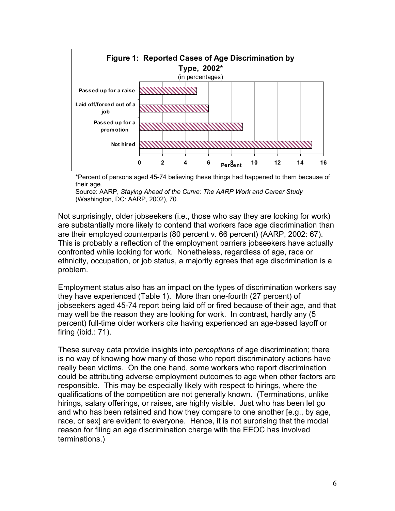

\*Percent of persons aged 45-74 believing these things had happened to them because of their age.

Source: AARP, *Staying Ahead of the Curve: The AARP Work and Career Study* (Washington, DC: AARP, 2002), 70.

Not surprisingly, older jobseekers (i.e., those who say they are looking for work) are substantially more likely to contend that workers face age discrimination than are their employed counterparts (80 percent v. 66 percent) (AARP, 2002: 67). This is probably a reflection of the employment barriers jobseekers have actually confronted while looking for work. Nonetheless, regardless of age, race or ethnicity, occupation, or job status, a majority agrees that age discrimination is a problem.

Employment status also has an impact on the types of discrimination workers say they have experienced (Table 1). More than one-fourth (27 percent) of jobseekers aged 45-74 report being laid off or fired because of their age, and that may well be the reason they are looking for work. In contrast, hardly any (5 percent) full-time older workers cite having experienced an age-based layoff or firing (ibid.: 71).

These survey data provide insights into *perceptions* of age discrimination; there is no way of knowing how many of those who report discriminatory actions have really been victims. On the one hand, some workers who report discrimination could be attributing adverse employment outcomes to age when other factors are responsible. This may be especially likely with respect to hirings, where the qualifications of the competition are not generally known. (Terminations, unlike hirings, salary offerings, or raises, are highly visible. Just who has been let go and who has been retained and how they compare to one another [e.g., by age, race, or sex] are evident to everyone. Hence, it is not surprising that the modal reason for filing an age discrimination charge with the EEOC has involved terminations.)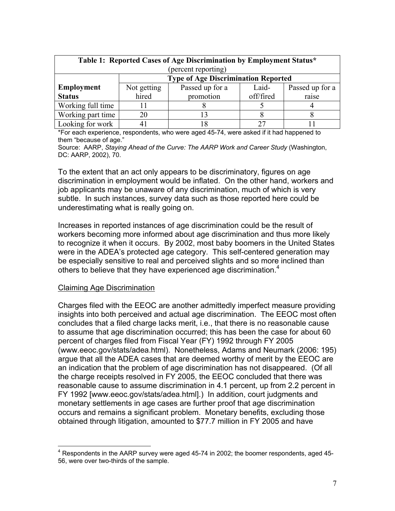| Table 1: Reported Cases of Age Discrimination by Employment Status* |                                            |                 |           |                 |  |  |  |
|---------------------------------------------------------------------|--------------------------------------------|-----------------|-----------|-----------------|--|--|--|
| (percent reporting)                                                 |                                            |                 |           |                 |  |  |  |
|                                                                     | <b>Type of Age Discrimination Reported</b> |                 |           |                 |  |  |  |
| <b>Employment</b>                                                   | Not getting                                | Passed up for a | Laid-     | Passed up for a |  |  |  |
| <b>Status</b>                                                       | hired                                      | promotion       | off/fired | raise           |  |  |  |
| Working full time                                                   |                                            |                 |           |                 |  |  |  |
| Working part time                                                   | 20                                         |                 |           |                 |  |  |  |
| Looking for work                                                    |                                            |                 | 27        |                 |  |  |  |

\*For each experience, respondents, who were aged 45-74, were asked if it had happened to them "because of age."

Source: AARP, *Staying Ahead of the Curve: The AARP Work and Career Study* (Washington, DC: AARP, 2002), 70.

To the extent that an act only appears to be discriminatory, figures on age discrimination in employment would be inflated. On the other hand, workers and job applicants may be unaware of any discrimination, much of which is very subtle. In such instances, survey data such as those reported here could be underestimating what is really going on.

Increases in reported instances of age discrimination could be the result of workers becoming more informed about age discrimination and thus more likely to recognize it when it occurs. By 2002, most baby boomers in the United States were in the ADEA's protected age category. This self-centered generation may be especially sensitive to real and perceived slights and so more inclined than others to believe that they have experienced age discrimination.<sup>4</sup>

#### Claiming Age Discrimination

 $\overline{a}$ 

Charges filed with the EEOC are another admittedly imperfect measure providing insights into both perceived and actual age discrimination. The EEOC most often concludes that a filed charge lacks merit, i.e., that there is no reasonable cause to assume that age discrimination occurred; this has been the case for about 60 percent of charges filed from Fiscal Year (FY) 1992 through FY 2005 (www.eeoc.gov/stats/adea.html). Nonetheless, Adams and Neumark (2006: 195) argue that all the ADEA cases that are deemed worthy of merit by the EEOC are an indication that the problem of age discrimination has not disappeared. (Of all the charge receipts resolved in FY 2005, the EEOC concluded that there was reasonable cause to assume discrimination in 4.1 percent, up from 2.2 percent in FY 1992 [www.eeoc.gov/stats/adea.html].) In addition, court judgments and monetary settlements in age cases are further proof that age discrimination occurs and remains a significant problem. Monetary benefits, excluding those obtained through litigation, amounted to \$77.7 million in FY 2005 and have

 $4$  Respondents in the AARP survey were aged 45-74 in 2002; the boomer respondents, aged 45-56, were over two-thirds of the sample.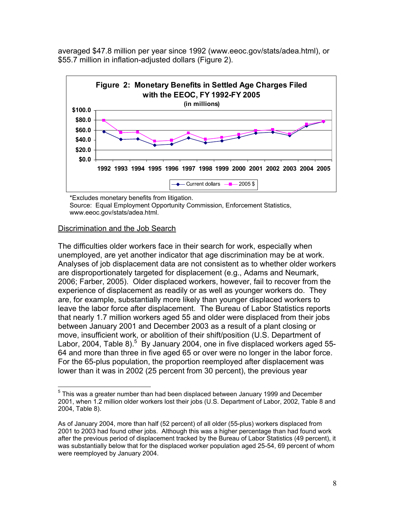averaged \$47.8 million per year since 1992 (www.eeoc.gov/stats/adea.html), or \$55.7 million in inflation-adjusted dollars (Figure 2).



\*Excludes monetary benefits from litigation. Source: Equal Employment Opportunity Commission, Enforcement Statistics, www.eeoc.gov/stats/adea.html.

#### Discrimination and the Job Search

The difficulties older workers face in their search for work, especially when unemployed, are yet another indicator that age discrimination may be at work. Analyses of job displacement data are not consistent as to whether older workers are disproportionately targeted for displacement (e.g., Adams and Neumark, 2006; Farber, 2005). Older displaced workers, however, fail to recover from the experience of displacement as readily or as well as younger workers do. They are, for example, substantially more likely than younger displaced workers to leave the labor force after displacement. The Bureau of Labor Statistics reports that nearly 1.7 million workers aged 55 and older were displaced from their jobs between January 2001 and December 2003 as a result of a plant closing or move, insufficient work, or abolition of their shift/position (U.S. Department of Labor, 2004, Table 8).<sup>5</sup> By January 2004, one in five displaced workers aged 55-64 and more than three in five aged 65 or over were no longer in the labor force. For the 65-plus population, the proportion reemployed after displacement was lower than it was in 2002 (25 percent from 30 percent), the previous year

 $\overline{a}$  $<sup>5</sup>$  This was a greater number than had been displaced between January 1999 and December</sup> 2001, when 1.2 million older workers lost their jobs (U.S. Department of Labor, 2002, Table 8 and 2004, Table 8).

As of January 2004, more than half (52 percent) of all older (55-plus) workers displaced from 2001 to 2003 had found other jobs. Although this was a higher percentage than had found work after the previous period of displacement tracked by the Bureau of Labor Statistics (49 percent), it was substantially below that for the displaced worker population aged 25-54, 69 percent of whom were reemployed by January 2004.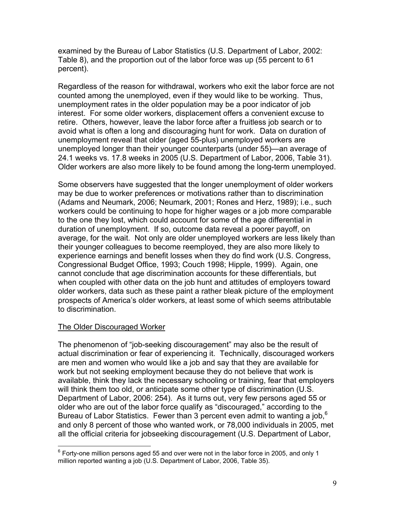examined by the Bureau of Labor Statistics (U.S. Department of Labor, 2002: Table 8), and the proportion out of the labor force was up (55 percent to 61 percent).

Regardless of the reason for withdrawal, workers who exit the labor force are not counted among the unemployed, even if they would like to be working. Thus, unemployment rates in the older population may be a poor indicator of job interest. For some older workers, displacement offers a convenient excuse to retire. Others, however, leave the labor force after a fruitless job search or to avoid what is often a long and discouraging hunt for work. Data on duration of unemployment reveal that older (aged 55-plus) unemployed workers are unemployed longer than their younger counterparts (under 55)—an average of 24.1 weeks vs. 17.8 weeks in 2005 (U.S. Department of Labor, 2006, Table 31). Older workers are also more likely to be found among the long-term unemployed.

Some observers have suggested that the longer unemployment of older workers may be due to worker preferences or motivations rather than to discrimination (Adams and Neumark, 2006; Neumark, 2001; Rones and Herz, 1989); i.e., such workers could be continuing to hope for higher wages or a job more comparable to the one they lost, which could account for some of the age differential in duration of unemployment. If so, outcome data reveal a poorer payoff, on average, for the wait. Not only are older unemployed workers are less likely than their younger colleagues to become reemployed, they are also more likely to experience earnings and benefit losses when they do find work (U.S. Congress, Congressional Budget Office, 1993; Couch 1998; Hipple, 1999). Again, one cannot conclude that age discrimination accounts for these differentials, but when coupled with other data on the job hunt and attitudes of employers toward older workers, data such as these paint a rather bleak picture of the employment prospects of America's older workers, at least some of which seems attributable to discrimination.

# The Older Discouraged Worker

The phenomenon of "job-seeking discouragement" may also be the result of actual discrimination or fear of experiencing it. Technically, discouraged workers are men and women who would like a job and say that they are available for work but not seeking employment because they do not believe that work is available, think they lack the necessary schooling or training, fear that employers will think them too old, or anticipate some other type of discrimination (U.S. Department of Labor, 2006: 254). As it turns out, very few persons aged 55 or older who are out of the labor force qualify as "discouraged," according to the Bureau of Labor Statistics. Fewer than 3 percent even admit to wanting a job,<sup>6</sup> and only 8 percent of those who wanted work, or 78,000 individuals in 2005, met all the official criteria for jobseeking discouragement (U.S. Department of Labor,

 6 Forty-one million persons aged 55 and over were not in the labor force in 2005, and only 1 million reported wanting a job (U.S. Department of Labor, 2006, Table 35).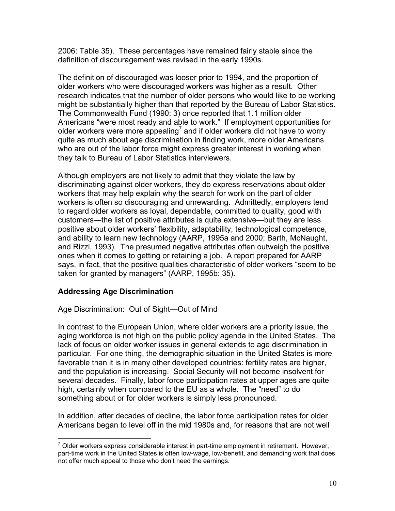2006: Table 35). These percentages have remained fairly stable since the definition of discouragement was revised in the early 1990s.

The definition of discouraged was looser prior to 1994, and the proportion of older workers who were discouraged workers was higher as a result. Other research indicates that the number of older persons who would like to be working might be substantially higher than that reported by the Bureau of Labor Statistics. The Commonwealth Fund (1990: 3) once reported that 1.1 million older Americans "were most ready and able to work." If employment opportunities for older workers were more appealing<sup>7</sup> and if older workers did not have to worry quite as much about age discrimination in finding work, more older Americans who are out of the labor force might express greater interest in working when they talk to Bureau of Labor Statistics interviewers.

Although employers are not likely to admit that they violate the law by discriminating against older workers, they do express reservations about older workers that may help explain why the search for work on the part of older workers is often so discouraging and unrewarding. Admittedly, employers tend to regard older workers as loyal, dependable, committed to quality, good with customers—the list of positive attributes is quite extensive—but they are less positive about older workers' flexibility, adaptability, technological competence, and ability to learn new technology (AARP, 1995a and 2000; Barth, McNaught, and Rizzi, 1993). The presumed negative attributes often outweigh the positive ones when it comes to getting or retaining a job. A report prepared for AARP says, in fact, that the positive qualities characteristic of older workers "seem to be taken for granted by managers" (AARP, 1995b: 35).

# **Addressing Age Discrimination**

#### Age Discrimination: Out of Sight—Out of Mind

In contrast to the European Union, where older workers are a priority issue, the aging workforce is not high on the public policy agenda in the United States. The lack of focus on older worker issues in general extends to age discrimination in particular. For one thing, the demographic situation in the United States is more favorable than it is in many other developed countries: fertility rates are higher, and the population is increasing. Social Security will not become insolvent for several decades. Finally, labor force participation rates at upper ages are quite high, certainly when compared to the EU as a whole. The "need" to do something about or for older workers is simply less pronounced.

In addition, after decades of decline, the labor force participation rates for older Americans began to level off in the mid 1980s and, for reasons that are not well

 $\overline{a}$  $<sup>7</sup>$  Older workers express considerable interest in part-time employment in retirement. However,</sup> part-time work in the United States is often low-wage, low-benefit, and demanding work that does not offer much appeal to those who don't need the earnings.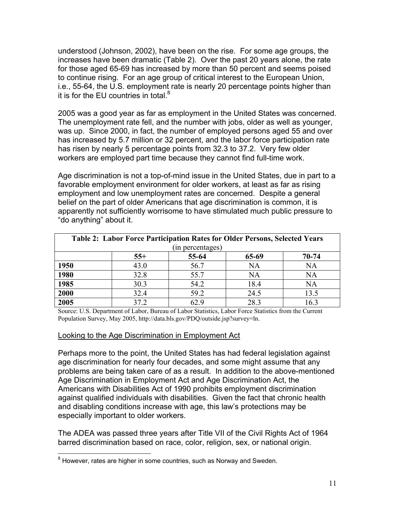understood (Johnson, 2002), have been on the rise. For some age groups, the increases have been dramatic (Table 2). Over the past 20 years alone, the rate for those aged 65-69 has increased by more than 50 percent and seems poised to continue rising. For an age group of critical interest to the European Union, i.e., 55-64, the U.S. employment rate is nearly 20 percentage points higher than it is for the EU countries in total. $8$ 

2005 was a good year as far as employment in the United States was concerned. The unemployment rate fell, and the number with jobs, older as well as younger, was up. Since 2000, in fact, the number of employed persons aged 55 and over has increased by 5.7 million or 32 percent, and the labor force participation rate has risen by nearly 5 percentage points from 32.3 to 37.2. Very few older workers are employed part time because they cannot find full-time work.

Age discrimination is not a top-of-mind issue in the United States, due in part to a favorable employment environment for older workers, at least as far as rising employment and low unemployment rates are concerned. Despite a general belief on the part of older Americans that age discrimination is common, it is apparently not sufficiently worrisome to have stimulated much public pressure to "do anything" about it.

| <b>Table 2: Labor Force Participation Rates for Older Persons, Selected Years</b> |       |       |       |           |  |  |
|-----------------------------------------------------------------------------------|-------|-------|-------|-----------|--|--|
| (in percentages)                                                                  |       |       |       |           |  |  |
|                                                                                   | $55+$ | 55-64 | 65-69 | 70-74     |  |  |
| 1950                                                                              | 43.0  | 56.7  | NA    | NA        |  |  |
| 1980                                                                              | 32.8  | 55.7  | NA    | NA        |  |  |
| 1985                                                                              | 30.3  | 54.2  | 18.4  | <b>NA</b> |  |  |
| 2000                                                                              | 32.4  | 59.2  | 24.5  | 13.5      |  |  |
| 2005                                                                              | 37 2  |       | 28.3  |           |  |  |

Source: U.S. Department of Labor, Bureau of Labor Statistics, Labor Force Statistics from the Current Population Survey, May 2005, http://data.bls.gov/PDQ/outside.jsp?survey=ln.

#### Looking to the Age Discrimination in Employment Act

Perhaps more to the point, the United States has had federal legislation against age discrimination for nearly four decades, and some might assume that any problems are being taken care of as a result. In addition to the above-mentioned Age Discrimination in Employment Act and Age Discrimination Act, the Americans with Disabilities Act of 1990 prohibits employment discrimination against qualified individuals with disabilities. Given the fact that chronic health and disabling conditions increase with age, this law's protections may be especially important to older workers.

The ADEA was passed three years after Title VII of the Civil Rights Act of 1964 barred discrimination based on race, color, religion, sex, or national origin.

enties.<br><sup>8</sup> However, rates are higher in some countries, such as Norway and Sweden.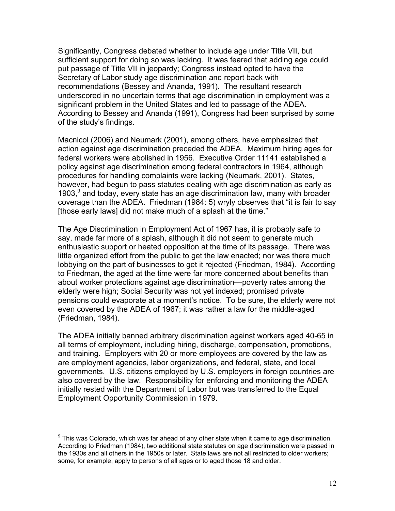Significantly, Congress debated whether to include age under Title VII, but sufficient support for doing so was lacking. It was feared that adding age could put passage of Title VII in jeopardy; Congress instead opted to have the Secretary of Labor study age discrimination and report back with recommendations (Bessey and Ananda, 1991). The resultant research underscored in no uncertain terms that age discrimination in employment was a significant problem in the United States and led to passage of the ADEA. According to Bessey and Ananda (1991), Congress had been surprised by some of the study's findings.

Macnicol (2006) and Neumark (2001), among others, have emphasized that action against age discrimination preceded the ADEA. Maximum hiring ages for federal workers were abolished in 1956. Executive Order 11141 established a policy against age discrimination among federal contractors in 1964, although procedures for handling complaints were lacking (Neumark, 2001). States, however, had begun to pass statutes dealing with age discrimination as early as 1903,<sup>9</sup> and today, every state has an age discrimination law, many with broader coverage than the ADEA. Friedman (1984: 5) wryly observes that "it is fair to say [those early laws] did not make much of a splash at the time."

The Age Discrimination in Employment Act of 1967 has, it is probably safe to say, made far more of a splash, although it did not seem to generate much enthusiastic support or heated opposition at the time of its passage. There was little organized effort from the public to get the law enacted; nor was there much lobbying on the part of businesses to get it rejected (Friedman, 1984). According to Friedman, the aged at the time were far more concerned about benefits than about worker protections against age discrimination—poverty rates among the elderly were high; Social Security was not yet indexed; promised private pensions could evaporate at a moment's notice. To be sure, the elderly were not even covered by the ADEA of 1967; it was rather a law for the middle-aged (Friedman, 1984).

The ADEA initially banned arbitrary discrimination against workers aged 40-65 in all terms of employment, including hiring, discharge, compensation, promotions, and training. Employers with 20 or more employees are covered by the law as are employment agencies, labor organizations, and federal, state, and local governments. U.S. citizens employed by U.S. employers in foreign countries are also covered by the law. Responsibility for enforcing and monitoring the ADEA initially rested with the Department of Labor but was transferred to the Equal Employment Opportunity Commission in 1979.

 9 This was Colorado, which was far ahead of any other state when it came to age discrimination. According to Friedman (1984), two additional state statutes on age discrimination were passed in the 1930s and all others in the 1950s or later. State laws are not all restricted to older workers; some, for example, apply to persons of all ages or to aged those 18 and older.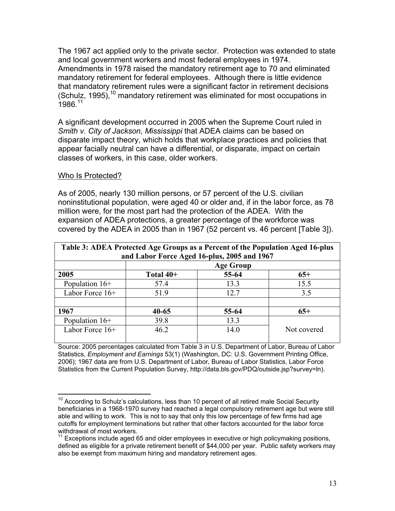The 1967 act applied only to the private sector. Protection was extended to state and local government workers and most federal employees in 1974. Amendments in 1978 raised the mandatory retirement age to 70 and eliminated mandatory retirement for federal employees. Although there is little evidence that mandatory retirement rules were a significant factor in retirement decisions (Schulz, 1995),  $10$  mandatory retirement was eliminated for most occupations in 1986.11

A significant development occurred in 2005 when the Supreme Court ruled in *Smith v. City of Jackson, Mississippi* that ADEA claims can be based on disparate impact theory, which holds that workplace practices and policies that appear facially neutral can have a differential, or disparate, impact on certain classes of workers, in this case, older workers.

#### Who Is Protected?

 $\overline{a}$ 

As of 2005, nearly 130 million persons, or 57 percent of the U.S. civilian noninstitutional population, were aged 40 or older and, if in the labor force, as 78 million were, for the most part had the protection of the ADEA. With the expansion of ADEA protections, a greater percentage of the workforce was covered by the ADEA in 2005 than in 1967 (52 percent vs. 46 percent [Table 3]).

| Table 3: ADEA Protected Age Groups as a Percent of the Population Aged 16-plus<br>and Labor Force Aged 16-plus, 2005 and 1967 |                  |       |             |  |  |
|-------------------------------------------------------------------------------------------------------------------------------|------------------|-------|-------------|--|--|
|                                                                                                                               | <b>Age Group</b> |       |             |  |  |
| 2005                                                                                                                          | Total $40+$      | 55-64 | $65+$       |  |  |
| Population $16+$                                                                                                              | 57.4             | 13.3  | 15.5        |  |  |
| Labor Force 16+                                                                                                               | 51.9             | 12.7  | 3.5         |  |  |
|                                                                                                                               |                  |       |             |  |  |
| 1967                                                                                                                          | $40 - 65$        | 55-64 | $65+$       |  |  |
| Population $16+$                                                                                                              | 39.8             | 13.3  |             |  |  |
| Labor Force 16+                                                                                                               | 46.2             | 14.0  | Not covered |  |  |

Source: 2005 percentages calculated from Table 3 in U.S. Department of Labor, Bureau of Labor Statistics, *Employment and Earnings* 53(1) (Washington, DC: U.S. Government Printing Office, 2006); 1967 data are from U.S. Department of Labor, Bureau of Labor Statistics, Labor Force Statistics from the Current Population Survey, http://data.bls.gov/PDQ/outside.jsp?survey=ln).

 $10$  According to Schulz's calculations, less than 10 percent of all retired male Social Security beneficiaries in a 1968-1970 survey had reached a legal compulsory retirement age but were still able and willing to work. This is not to say that only this low percentage of few firms had age cutoffs for employment terminations but rather that other factors accounted for the labor force withdrawal of most workers.

 $11$  Exceptions include aged 65 and older employees in executive or high policymaking positions, defined as eligible for a private retirement benefit of \$44,000 per year. Public safety workers may also be exempt from maximum hiring and mandatory retirement ages.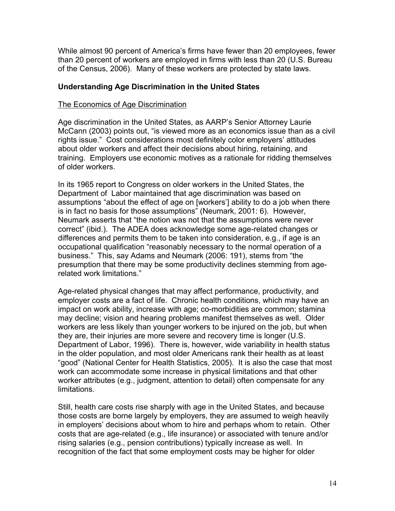While almost 90 percent of America's firms have fewer than 20 employees, fewer than 20 percent of workers are employed in firms with less than 20 (U.S. Bureau of the Census, 2006). Many of these workers are protected by state laws.

### **Understanding Age Discrimination in the United States**

#### The Economics of Age Discrimination

Age discrimination in the United States, as AARP's Senior Attorney Laurie McCann (2003) points out, "is viewed more as an economics issue than as a civil rights issue." Cost considerations most definitely color employers' attitudes about older workers and affect their decisions about hiring, retaining, and training. Employers use economic motives as a rationale for ridding themselves of older workers.

In its 1965 report to Congress on older workers in the United States, the Department of Labor maintained that age discrimination was based on assumptions "about the effect of age on [workers'] ability to do a job when there is in fact no basis for those assumptions" (Neumark, 2001: 6). However, Neumark asserts that "the notion was not that the assumptions were never correct" (ibid.). The ADEA does acknowledge some age-related changes or differences and permits them to be taken into consideration, e.g., if age is an occupational qualification "reasonably necessary to the normal operation of a business." This, say Adams and Neumark (2006: 191), stems from "the presumption that there may be some productivity declines stemming from agerelated work limitations."

Age-related physical changes that may affect performance, productivity, and employer costs are a fact of life. Chronic health conditions, which may have an impact on work ability, increase with age; co-morbidities are common; stamina may decline; vision and hearing problems manifest themselves as well. Older workers are less likely than younger workers to be injured on the job, but when they are, their injuries are more severe and recovery time is longer (U.S. Department of Labor, 1996). There is, however, wide variability in health status in the older population, and most older Americans rank their health as at least "good" (National Center for Health Statistics, 2005). It is also the case that most work can accommodate some increase in physical limitations and that other worker attributes (e.g., judgment, attention to detail) often compensate for any limitations.

Still, health care costs rise sharply with age in the United States, and because those costs are borne largely by employers, they are assumed to weigh heavily in employers' decisions about whom to hire and perhaps whom to retain. Other costs that are age-related (e.g., life insurance) or associated with tenure and/or rising salaries (e.g., pension contributions) typically increase as well. In recognition of the fact that some employment costs may be higher for older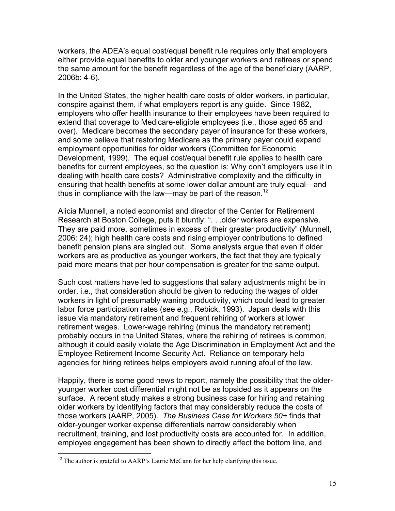workers, the ADEA's equal cost/equal benefit rule requires only that employers either provide equal benefits to older and younger workers and retirees or spend the same amount for the benefit regardless of the age of the beneficiary (AARP, 2006b: 4-6).

In the United States, the higher health care costs of older workers, in particular, conspire against them, if what employers report is any guide. Since 1982, employers who offer health insurance to their employees have been required to extend that coverage to Medicare-eligible employees (i.e., those aged 65 and over). Medicare becomes the secondary payer of insurance for these workers, and some believe that restoring Medicare as the primary payer could expand employment opportunities for older workers (Committee for Economic Development, 1999). The equal cost/equal benefit rule applies to health care benefits for current employees, so the question is: Why don't employers use it in dealing with health care costs? Administrative complexity and the difficulty in ensuring that health benefits at some lower dollar amount are truly equal—and thus in compliance with the law—may be part of the reason.<sup>12</sup>

Alicia Munnell, a noted economist and director of the Center for Retirement Research at Boston College, puts it bluntly: ". . .older workers are expensive. They are paid more, sometimes in excess of their greater productivity" (Munnell, 2006: 24); high health care costs and rising employer contributions to defined benefit pension plans are singled out. Some analysts argue that even if older workers are as productive as younger workers, the fact that they are typically paid more means that per hour compensation is greater for the same output.

Such cost matters have led to suggestions that salary adjustments might be in order, i.e., that consideration should be given to reducing the wages of older workers in light of presumably waning productivity, which could lead to greater labor force participation rates (see e.g., Rebick, 1993). Japan deals with this issue via mandatory retirement and frequent rehiring of workers at lower retirement wages. Lower-wage rehiring (minus the mandatory retirement) probably occurs in the United States, where the rehiring of retirees is common, although it could easily violate the Age Discrimination in Employment Act and the Employee Retirement Income Security Act. Reliance on temporary help agencies for hiring retirees helps employers avoid running afoul of the law.

Happily, there is some good news to report, namely the possibility that the olderyounger worker cost differential might not be as lopsided as it appears on the surface. A recent study makes a strong business case for hiring and retaining older workers by identifying factors that may considerably reduce the costs of those workers (AARP, 2005). *The Business Case for Workers 50+* finds that older-younger worker expense differentials narrow considerably when recruitment, training, and lost productivity costs are accounted for. In addition, employee engagement has been shown to directly affect the bottom line, and

 $\overline{a}$ 

<sup>&</sup>lt;sup>12</sup> The author is grateful to AARP's Laurie McCann for her help clarifying this issue.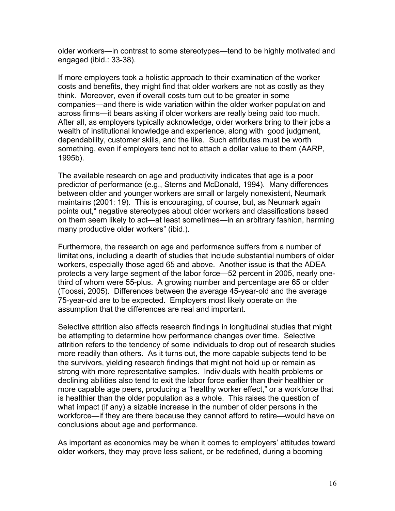older workers—in contrast to some stereotypes—tend to be highly motivated and engaged (ibid.: 33-38).

If more employers took a holistic approach to their examination of the worker costs and benefits, they might find that older workers are not as costly as they think. Moreover, even if overall costs turn out to be greater in some companies—and there is wide variation within the older worker population and across firms—it bears asking if older workers are really being paid too much. After all, as employers typically acknowledge, older workers bring to their jobs a wealth of institutional knowledge and experience, along with good judgment, dependability, customer skills, and the like. Such attributes must be worth something, even if employers tend not to attach a dollar value to them (AARP, 1995b).

The available research on age and productivity indicates that age is a poor predictor of performance (e.g., Sterns and McDonald, 1994). Many differences between older and younger workers are small or largely nonexistent, Neumark maintains (2001: 19). This is encouraging, of course, but, as Neumark again points out," negative stereotypes about older workers and classifications based on them seem likely to act—at least sometimes—in an arbitrary fashion, harming many productive older workers" (ibid.).

Furthermore, the research on age and performance suffers from a number of limitations, including a dearth of studies that include substantial numbers of older workers, especially those aged 65 and above. Another issue is that the ADEA protects a very large segment of the labor force—52 percent in 2005, nearly onethird of whom were 55-plus. A growing number and percentage are 65 or older (Toossi, 2005). Differences between the average 45-year-old and the average 75-year-old are to be expected. Employers most likely operate on the assumption that the differences are real and important.

Selective attrition also affects research findings in longitudinal studies that might be attempting to determine how performance changes over time. Selective attrition refers to the tendency of some individuals to drop out of research studies more readily than others. As it turns out, the more capable subjects tend to be the survivors, yielding research findings that might not hold up or remain as strong with more representative samples. Individuals with health problems or declining abilities also tend to exit the labor force earlier than their healthier or more capable age peers, producing a "healthy worker effect," or a workforce that is healthier than the older population as a whole. This raises the question of what impact (if any) a sizable increase in the number of older persons in the workforce—if they are there because they cannot afford to retire—would have on conclusions about age and performance.

As important as economics may be when it comes to employers' attitudes toward older workers, they may prove less salient, or be redefined, during a booming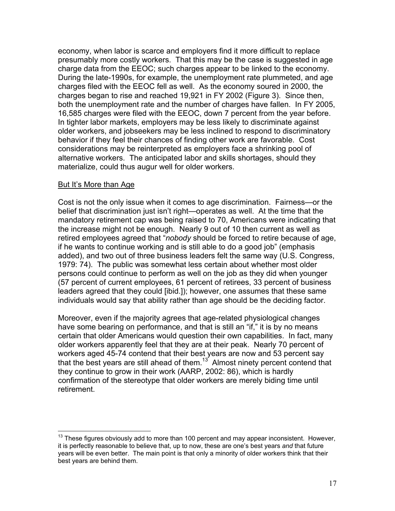economy, when labor is scarce and employers find it more difficult to replace presumably more costly workers. That this may be the case is suggested in age charge data from the EEOC; such charges appear to be linked to the economy. During the late-1990s, for example, the unemployment rate plummeted, and age charges filed with the EEOC fell as well. As the economy soured in 2000, the charges began to rise and reached 19,921 in FY 2002 (Figure 3). Since then, both the unemployment rate and the number of charges have fallen. In FY 2005, 16,585 charges were filed with the EEOC, down 7 percent from the year before. In tighter labor markets, employers may be less likely to discriminate against older workers, and jobseekers may be less inclined to respond to discriminatory behavior if they feel their chances of finding other work are favorable. Cost considerations may be reinterpreted as employers face a shrinking pool of alternative workers. The anticipated labor and skills shortages, should they materialize, could thus augur well for older workers.

#### But It's More than Age

 $\overline{a}$ 

Cost is not the only issue when it comes to age discrimination. Fairness—or the belief that discrimination just isn't right—operates as well. At the time that the mandatory retirement cap was being raised to 70, Americans were indicating that the increase might not be enough. Nearly 9 out of 10 then current as well as retired employees agreed that "*nobody* should be forced to retire because of age, if he wants to continue working and is still able to do a good job" (emphasis added), and two out of three business leaders felt the same way (U.S. Congress, 1979: 74). The public was somewhat less certain about whether most older persons could continue to perform as well on the job as they did when younger (57 percent of current employees, 61 percent of retirees, 33 percent of business leaders agreed that they could [ibid.]); however, one assumes that these same individuals would say that ability rather than age should be the deciding factor.

Moreover, even if the majority agrees that age-related physiological changes have some bearing on performance, and that is still an "if," it is by no means certain that older Americans would question their own capabilities. In fact, many older workers apparently feel that they are at their peak. Nearly 70 percent of workers aged 45-74 contend that their best years are now and 53 percent say that the best years are still ahead of them.13 Almost ninety percent contend that they continue to grow in their work (AARP, 2002: 86), which is hardly confirmation of the stereotype that older workers are merely biding time until retirement.

 $13$  These figures obviously add to more than 100 percent and may appear inconsistent. However, it is perfectly reasonable to believe that, up to now, these are one's best years *and* that future years will be even better. The main point is that only a minority of older workers think that their best years are behind them.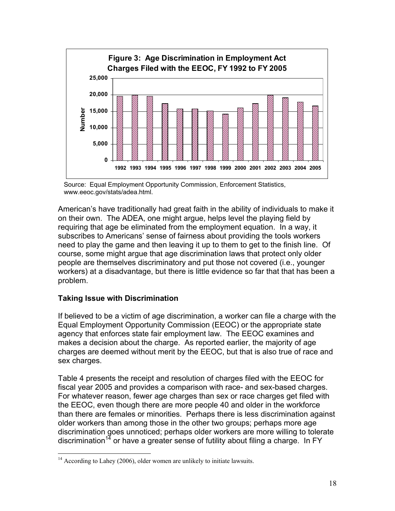

Source: Equal Employment Opportunity Commission, Enforcement Statistics, www.eeoc.gov/stats/adea.html.

American's have traditionally had great faith in the ability of individuals to make it on their own. The ADEA, one might argue, helps level the playing field by requiring that age be eliminated from the employment equation. In a way, it subscribes to Americans' sense of fairness about providing the tools workers need to play the game and then leaving it up to them to get to the finish line. Of course, some might argue that age discrimination laws that protect only older people are themselves discriminatory and put those not covered (i.e., younger workers) at a disadvantage, but there is little evidence so far that that has been a problem.

# **Taking Issue with Discrimination**

<u>.</u>

If believed to be a victim of age discrimination, a worker can file a charge with the Equal Employment Opportunity Commission (EEOC) or the appropriate state agency that enforces state fair employment law. The EEOC examines and makes a decision about the charge. As reported earlier, the majority of age charges are deemed without merit by the EEOC, but that is also true of race and sex charges.

Table 4 presents the receipt and resolution of charges filed with the EEOC for fiscal year 2005 and provides a comparison with race- and sex-based charges. For whatever reason, fewer age charges than sex or race charges get filed with the EEOC, even though there are more people 40 and older in the workforce than there are females or minorities. Perhaps there is less discrimination against older workers than among those in the other two groups; perhaps more age discrimination goes unnoticed; perhaps older workers are more willing to tolerate discrimination<sup>14</sup> or have a greater sense of futility about filing a charge. In FY

 $14$  According to Lahey (2006), older women are unlikely to initiate lawsuits.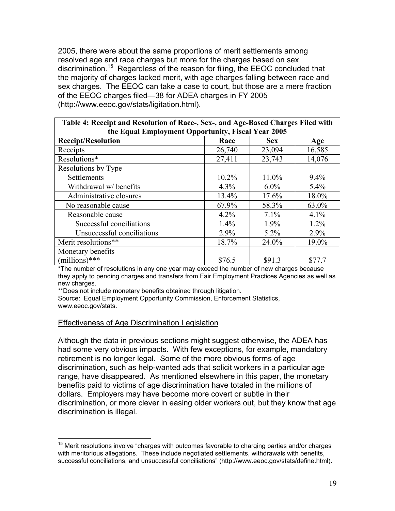2005, there were about the same proportions of merit settlements among resolved age and race charges but more for the charges based on sex discrimination.15 Regardless of the reason for filing, the EEOC concluded that the majority of charges lacked merit, with age charges falling between race and sex charges. The EEOC can take a case to court, but those are a mere fraction of the EEOC charges filed—38 for ADEA charges in FY 2005 (http://www.eeoc.gov/stats/ligitation.html).

| Table 4: Receipt and Resolution of Race-, Sex-, and Age-Based Charges Filed with |        |            |        |  |  |  |
|----------------------------------------------------------------------------------|--------|------------|--------|--|--|--|
| the Equal Employment Opportunity, Fiscal Year 2005                               |        |            |        |  |  |  |
| <b>Receipt/Resolution</b>                                                        | Race   | <b>Sex</b> | Age    |  |  |  |
| Receipts                                                                         | 26,740 | 23,094     | 16,585 |  |  |  |
| Resolutions*                                                                     | 27,411 | 23,743     | 14,076 |  |  |  |
| Resolutions by Type                                                              |        |            |        |  |  |  |
| Settlements                                                                      | 10.2%  | 11.0%      | 9.4%   |  |  |  |
| Withdrawal w/ benefits                                                           | 4.3%   | $6.0\%$    | 5.4%   |  |  |  |
| Administrative closures                                                          | 13.4%  | 17.6%      | 18.0%  |  |  |  |
| No reasonable cause                                                              | 67.9%  | 58.3%      | 63.0%  |  |  |  |
| Reasonable cause                                                                 | 4.2%   | 7.1%       | 4.1%   |  |  |  |
| Successful conciliations                                                         | 1.4%   | 1.9%       | 1.2%   |  |  |  |
| Unsuccessful conciliations                                                       | 2.9%   | 5.2%       | 2.9%   |  |  |  |
| Merit resolutions**                                                              | 18.7%  | 24.0%      | 19.0%  |  |  |  |
| Monetary benefits                                                                |        |            |        |  |  |  |
| $(millions)$ ***                                                                 | \$76.5 | \$91.3     | \$77.7 |  |  |  |

\*The number of resolutions in any one year may exceed the number of new charges because they apply to pending charges and transfers from Fair Employment Practices Agencies as well as new charges.

\*\*Does not include monetary benefits obtained through litigation.

Source: Equal Employment Opportunity Commission, Enforcement Statistics, www.eeoc.gov/stats.

#### Effectiveness of Age Discrimination Legislation

 $\overline{a}$ 

Although the data in previous sections might suggest otherwise, the ADEA has had some very obvious impacts. With few exceptions, for example, mandatory retirement is no longer legal. Some of the more obvious forms of age discrimination, such as help-wanted ads that solicit workers in a particular age range, have disappeared. As mentioned elsewhere in this paper, the monetary benefits paid to victims of age discrimination have totaled in the millions of dollars. Employers may have become more covert or subtle in their discrimination, or more clever in easing older workers out, but they know that age discrimination is illegal.

 $15$  Merit resolutions involve "charges with outcomes favorable to charging parties and/or charges with meritorious allegations. These include negotiated settlements, withdrawals with benefits, successful conciliations, and unsuccessful conciliations" (http://www.eeoc.gov/stats/define.html).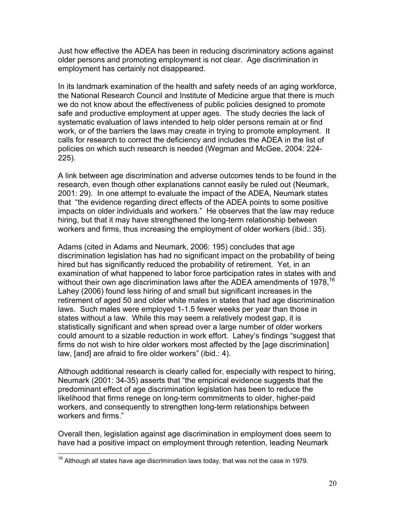Just how effective the ADEA has been in reducing discriminatory actions against older persons and promoting employment is not clear. Age discrimination in employment has certainly not disappeared.

In its landmark examination of the health and safety needs of an aging workforce, the National Research Council and Institute of Medicine argue that there is much we do not know about the effectiveness of public policies designed to promote safe and productive employment at upper ages. The study decries the lack of systematic evaluation of laws intended to help older persons remain at or find work, or of the barriers the laws may create in trying to promote employment. It calls for research to correct the deficiency and includes the ADEA in the list of policies on which such research is needed (Wegman and McGee, 2004: 224- 225).

A link between age discrimination and adverse outcomes tends to be found in the research, even though other explanations cannot easily be ruled out (Neumark, 2001: 29). In one attempt to evaluate the impact of the ADEA, Neumark states that "the evidence regarding direct effects of the ADEA points to some positive impacts on older individuals and workers." He observes that the law may reduce hiring, but that it may have strengthened the long-term relationship between workers and firms, thus increasing the employment of older workers (ibid.: 35).

Adams (cited in Adams and Neumark, 2006: 195) concludes that age discrimination legislation has had no significant impact on the probability of being hired but has significantly reduced the probability of retirement. Yet, in an examination of what happened to labor force participation rates in states with and without their own age discrimination laws after the ADEA amendments of 1978,  $16$ Lahey (2006) found less hiring of and small but significant increases in the retirement of aged 50 and older white males in states that had age discrimination laws. Such males were employed 1-1.5 fewer weeks per year than those in states without a law. While this may seem a relatively modest gap, it is statistically significant and when spread over a large number of older workers could amount to a sizable reduction in work effort. Lahey's findings "suggest that firms do not wish to hire older workers most affected by the [age discrimination] law, [and] are afraid to fire older workers" (ibid.: 4).

Although additional research is clearly called for, especially with respect to hiring, Neumark (2001: 34-35) asserts that "the empirical evidence suggests that the predominant effect of age discrimination legislation has been to reduce the likelihood that firms renege on long-term commitments to older, higher-paid workers, and consequently to strengthen long-term relationships between workers and firms."

Overall then, legislation against age discrimination in employment does seem to have had a positive impact on employment through retention, leading Neumark

<u>.</u>

 $16$  Although all states have age discrimination laws today, that was not the case in 1979.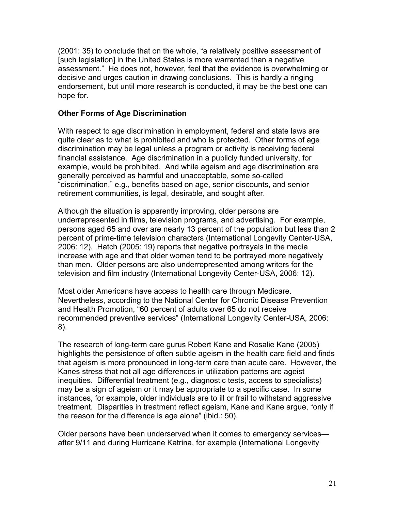(2001: 35) to conclude that on the whole, "a relatively positive assessment of [such legislation] in the United States is more warranted than a negative assessment." He does not, however, feel that the evidence is overwhelming or decisive and urges caution in drawing conclusions. This is hardly a ringing endorsement, but until more research is conducted, it may be the best one can hope for.

### **Other Forms of Age Discrimination**

With respect to age discrimination in employment, federal and state laws are quite clear as to what is prohibited and who is protected. Other forms of age discrimination may be legal unless a program or activity is receiving federal financial assistance. Age discrimination in a publicly funded university, for example, would be prohibited. And while ageism and age discrimination are generally perceived as harmful and unacceptable, some so-called "discrimination," e.g., benefits based on age, senior discounts, and senior retirement communities, is legal, desirable, and sought after.

Although the situation is apparently improving, older persons are underrepresented in films, television programs, and advertising. For example, persons aged 65 and over are nearly 13 percent of the population but less than 2 percent of prime-time television characters (International Longevity Center-USA, 2006: 12). Hatch (2005: 19) reports that negative portrayals in the media increase with age and that older women tend to be portrayed more negatively than men. Older persons are also underrepresented among writers for the television and film industry (International Longevity Center-USA, 2006: 12).

Most older Americans have access to health care through Medicare. Nevertheless, according to the National Center for Chronic Disease Prevention and Health Promotion, "60 percent of adults over 65 do not receive recommended preventive services" (International Longevity Center-USA, 2006: 8).

The research of long-term care gurus Robert Kane and Rosalie Kane (2005) highlights the persistence of often subtle ageism in the health care field and finds that ageism is more pronounced in long-term care than acute care. However, the Kanes stress that not all age differences in utilization patterns are ageist inequities. Differential treatment (e.g., diagnostic tests, access to specialists) may be a sign of ageism or it may be appropriate to a specific case. In some instances, for example, older individuals are to ill or frail to withstand aggressive treatment. Disparities in treatment reflect ageism, Kane and Kane argue, "only if the reason for the difference is age alone" (ibid.: 50).

Older persons have been underserved when it comes to emergency services after 9/11 and during Hurricane Katrina, for example (International Longevity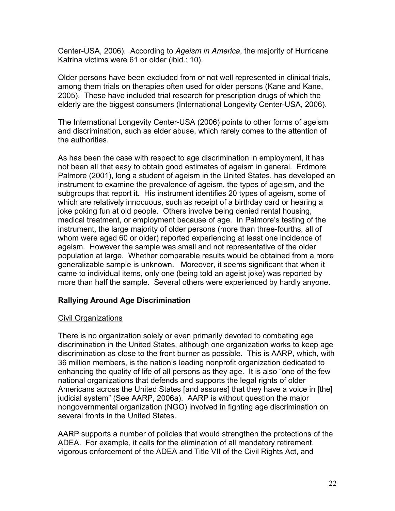Center-USA, 2006). According to *Ageism in America*, the majority of Hurricane Katrina victims were 61 or older (ibid.: 10).

Older persons have been excluded from or not well represented in clinical trials, among them trials on therapies often used for older persons (Kane and Kane, 2005). These have included trial research for prescription drugs of which the elderly are the biggest consumers (International Longevity Center-USA, 2006).

The International Longevity Center-USA (2006) points to other forms of ageism and discrimination, such as elder abuse, which rarely comes to the attention of the authorities.

As has been the case with respect to age discrimination in employment, it has not been all that easy to obtain good estimates of ageism in general. Erdmore Palmore (2001), long a student of ageism in the United States, has developed an instrument to examine the prevalence of ageism, the types of ageism, and the subgroups that report it. His instrument identifies 20 types of ageism, some of which are relatively innocuous, such as receipt of a birthday card or hearing a joke poking fun at old people. Others involve being denied rental housing, medical treatment, or employment because of age. In Palmore's testing of the instrument, the large majority of older persons (more than three-fourths, all of whom were aged 60 or older) reported experiencing at least one incidence of ageism. However the sample was small and not representative of the older population at large. Whether comparable results would be obtained from a more generalizable sample is unknown. Moreover, it seems significant that when it came to individual items, only one (being told an ageist joke) was reported by more than half the sample. Several others were experienced by hardly anyone.

#### **Rallying Around Age Discrimination**

#### Civil Organizations

There is no organization solely or even primarily devoted to combating age discrimination in the United States, although one organization works to keep age discrimination as close to the front burner as possible. This is AARP, which, with 36 million members, is the nation's leading nonprofit organization dedicated to enhancing the quality of life of all persons as they age. It is also "one of the few national organizations that defends and supports the legal rights of older Americans across the United States [and assures] that they have a voice in [the] judicial system" (See AARP, 2006a). AARP is without question the major nongovernmental organization (NGO) involved in fighting age discrimination on several fronts in the United States.

AARP supports a number of policies that would strengthen the protections of the ADEA. For example, it calls for the elimination of all mandatory retirement, vigorous enforcement of the ADEA and Title VII of the Civil Rights Act, and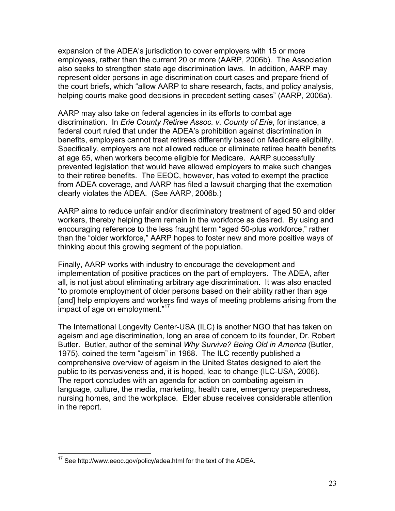expansion of the ADEA's jurisdiction to cover employers with 15 or more employees, rather than the current 20 or more (AARP, 2006b). The Association also seeks to strengthen state age discrimination laws. In addition, AARP may represent older persons in age discrimination court cases and prepare friend of the court briefs, which "allow AARP to share research, facts, and policy analysis, helping courts make good decisions in precedent setting cases" (AARP, 2006a).

AARP may also take on federal agencies in its efforts to combat age discrimination. In *Erie County Retiree Assoc. v. County of Erie*, for instance, a federal court ruled that under the ADEA's prohibition against discrimination in benefits, employers cannot treat retirees differently based on Medicare eligibility. Specifically, employers are not allowed reduce or eliminate retiree health benefits at age 65, when workers become eligible for Medicare. AARP successfully prevented legislation that would have allowed employers to make such changes to their retiree benefits. The EEOC, however, has voted to exempt the practice from ADEA coverage, and AARP has filed a lawsuit charging that the exemption clearly violates the ADEA. (See AARP, 2006b.)

AARP aims to reduce unfair and/or discriminatory treatment of aged 50 and older workers, thereby helping them remain in the workforce as desired. By using and encouraging reference to the less fraught term "aged 50-plus workforce," rather than the "older workforce," AARP hopes to foster new and more positive ways of thinking about this growing segment of the population.

Finally, AARP works with industry to encourage the development and implementation of positive practices on the part of employers. The ADEA, after all, is not just about eliminating arbitrary age discrimination. It was also enacted "to promote employment of older persons based on their ability rather than age [and] help employers and workers find ways of meeting problems arising from the impact of age on employment."<sup>17</sup>

The International Longevity Center-USA (ILC) is another NGO that has taken on ageism and age discrimination, long an area of concern to its founder, Dr. Robert Butler. Butler, author of the seminal *Why Survive? Being Old in America* (Butler, 1975), coined the term "ageism" in 1968. The ILC recently published a comprehensive overview of ageism in the United States designed to alert the public to its pervasiveness and, it is hoped, lead to change (ILC-USA, 2006). The report concludes with an agenda for action on combating ageism in language, culture, the media, marketing, health care, emergency preparedness, nursing homes, and the workplace. Elder abuse receives considerable attention in the report.

 $\overline{a}$ 

 $17$  See http://www.eeoc.gov/policy/adea.html for the text of the ADEA.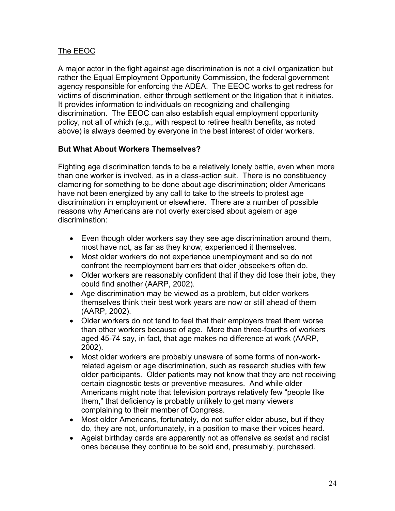# The EEOC

A major actor in the fight against age discrimination is not a civil organization but rather the Equal Employment Opportunity Commission, the federal government agency responsible for enforcing the ADEA. The EEOC works to get redress for victims of discrimination, either through settlement or the litigation that it initiates. It provides information to individuals on recognizing and challenging discrimination. The EEOC can also establish equal employment opportunity policy, not all of which (e.g., with respect to retiree health benefits, as noted above) is always deemed by everyone in the best interest of older workers.

# **But What About Workers Themselves?**

Fighting age discrimination tends to be a relatively lonely battle, even when more than one worker is involved, as in a class-action suit. There is no constituency clamoring for something to be done about age discrimination; older Americans have not been energized by any call to take to the streets to protest age discrimination in employment or elsewhere. There are a number of possible reasons why Americans are not overly exercised about ageism or age discrimination:

- Even though older workers say they see age discrimination around them, most have not, as far as they know, experienced it themselves.
- Most older workers do not experience unemployment and so do not confront the reemployment barriers that older jobseekers often do.
- Older workers are reasonably confident that if they did lose their jobs, they could find another (AARP, 2002).
- Age discrimination may be viewed as a problem, but older workers themselves think their best work years are now or still ahead of them (AARP, 2002).
- Older workers do not tend to feel that their employers treat them worse than other workers because of age. More than three-fourths of workers aged 45-74 say, in fact, that age makes no difference at work (AARP, 2002).
- Most older workers are probably unaware of some forms of non-workrelated ageism or age discrimination, such as research studies with few older participants. Older patients may not know that they are not receiving certain diagnostic tests or preventive measures. And while older Americans might note that television portrays relatively few "people like them," that deficiency is probably unlikely to get many viewers complaining to their member of Congress.
- Most older Americans, fortunately, do not suffer elder abuse, but if they do, they are not, unfortunately, in a position to make their voices heard.
- Ageist birthday cards are apparently not as offensive as sexist and racist ones because they continue to be sold and, presumably, purchased.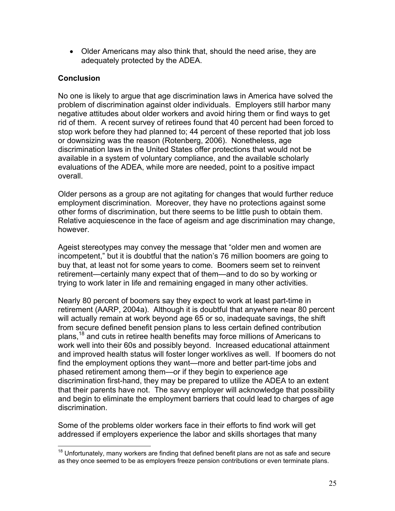• Older Americans may also think that, should the need arise, they are adequately protected by the ADEA.

# **Conclusion**

No one is likely to argue that age discrimination laws in America have solved the problem of discrimination against older individuals. Employers still harbor many negative attitudes about older workers and avoid hiring them or find ways to get rid of them. A recent survey of retirees found that 40 percent had been forced to stop work before they had planned to; 44 percent of these reported that job loss or downsizing was the reason (Rotenberg, 2006). Nonetheless, age discrimination laws in the United States offer protections that would not be available in a system of voluntary compliance, and the available scholarly evaluations of the ADEA, while more are needed, point to a positive impact overall.

Older persons as a group are not agitating for changes that would further reduce employment discrimination. Moreover, they have no protections against some other forms of discrimination, but there seems to be little push to obtain them. Relative acquiescence in the face of ageism and age discrimination may change, however.

Ageist stereotypes may convey the message that "older men and women are incompetent," but it is doubtful that the nation's 76 million boomers are going to buy that, at least not for some years to come. Boomers seem set to reinvent retirement—certainly many expect that of them—and to do so by working or trying to work later in life and remaining engaged in many other activities.

Nearly 80 percent of boomers say they expect to work at least part-time in retirement (AARP, 2004a). Although it is doubtful that anywhere near 80 percent will actually remain at work beyond age 65 or so, inadequate savings, the shift from secure defined benefit pension plans to less certain defined contribution plans,<sup>18</sup> and cuts in retiree health benefits may force millions of Americans to work well into their 60s and possibly beyond. Increased educational attainment and improved health status will foster longer worklives as well. If boomers do not find the employment options they want—more and better part-time jobs and phased retirement among them—or if they begin to experience age discrimination first-hand, they may be prepared to utilize the ADEA to an extent that their parents have not. The savvy employer will acknowledge that possibility and begin to eliminate the employment barriers that could lead to charges of age discrimination.

Some of the problems older workers face in their efforts to find work will get addressed if employers experience the labor and skills shortages that many

 $\overline{a}$  $18$  Unfortunately, many workers are finding that defined benefit plans are not as safe and secure as they once seemed to be as employers freeze pension contributions or even terminate plans.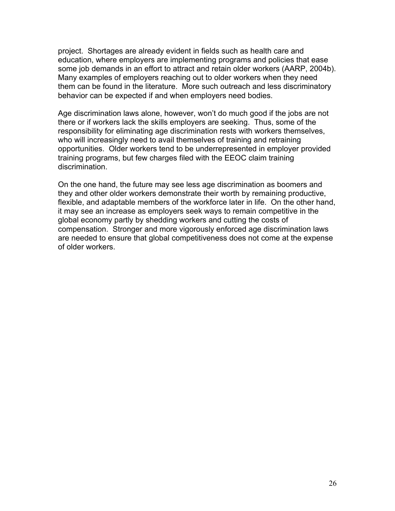project. Shortages are already evident in fields such as health care and education, where employers are implementing programs and policies that ease some job demands in an effort to attract and retain older workers (AARP, 2004b). Many examples of employers reaching out to older workers when they need them can be found in the literature. More such outreach and less discriminatory behavior can be expected if and when employers need bodies.

Age discrimination laws alone, however, won't do much good if the jobs are not there or if workers lack the skills employers are seeking. Thus, some of the responsibility for eliminating age discrimination rests with workers themselves, who will increasingly need to avail themselves of training and retraining opportunities. Older workers tend to be underrepresented in employer provided training programs, but few charges filed with the EEOC claim training discrimination.

On the one hand, the future may see less age discrimination as boomers and they and other older workers demonstrate their worth by remaining productive, flexible, and adaptable members of the workforce later in life. On the other hand, it may see an increase as employers seek ways to remain competitive in the global economy partly by shedding workers and cutting the costs of compensation. Stronger and more vigorously enforced age discrimination laws are needed to ensure that global competitiveness does not come at the expense of older workers.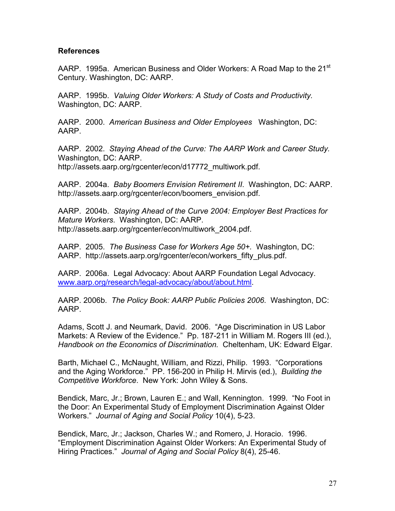#### **References**

AARP. 1995a. American Business and Older Workers: A Road Map to the 21<sup>st</sup> Century. Washington, DC: AARP.

AARP. 1995b. *Valuing Older Workers: A Study of Costs and Productivity.*  Washington, DC: AARP.

AARP. 2000. *American Business and Older Employees* Washington, DC: AARP.

AARP. 2002. *Staying Ahead of the Curve: The AARP Work and Career Study.* Washington, DC: AARP. http://assets.aarp.org/rgcenter/econ/d17772\_multiwork.pdf.

AARP. 2004a. *Baby Boomers Envision Retirement II*. Washington, DC: AARP. http://assets.aarp.org/rgcenter/econ/boomers\_envision.pdf.

AARP. 2004b. *Staying Ahead of the Curve 2004: Employer Best Practices for Mature Workers*. Washington, DC: AARP. http://assets.aarp.org/rgcenter/econ/multiwork\_2004.pdf.

AARP. 2005. *The Business Case for Workers Age 50+.* Washington, DC: AARP. http://assets.aarp.org/rgcenter/econ/workers\_fifty\_plus.pdf.

AARP. 2006a. Legal Advocacy: About AARP Foundation Legal Advocacy. www.aarp.org/research/legal-advocacy/about/about.html.

AARP. 2006b. *The Policy Book: AARP Public Policies 2006*. Washington, DC: AARP.

Adams, Scott J. and Neumark, David. 2006. "Age Discrimination in US Labor Markets: A Review of the Evidence." Pp. 187-211 in William M. Rogers III (ed.), *Handbook on the Economics of Discrimination.* Cheltenham, UK: Edward Elgar.

Barth, Michael C., McNaught, William, and Rizzi, Philip. 1993. "Corporations and the Aging Workforce." PP. 156-200 in Philip H. Mirvis (ed.), *Building the Competitive Workforce*. New York: John Wiley & Sons.

Bendick, Marc, Jr.; Brown, Lauren E.; and Wall, Kennington. 1999. "No Foot in the Door: An Experimental Study of Employment Discrimination Against Older Workers." *Journal of Aging and Social Policy* 10(4), 5-23.

Bendick, Marc, Jr.; Jackson, Charles W.; and Romero, J. Horacio. 1996. "Employment Discrimination Against Older Workers: An Experimental Study of Hiring Practices." *Journal of Aging and Social Policy* 8(4), 25-46.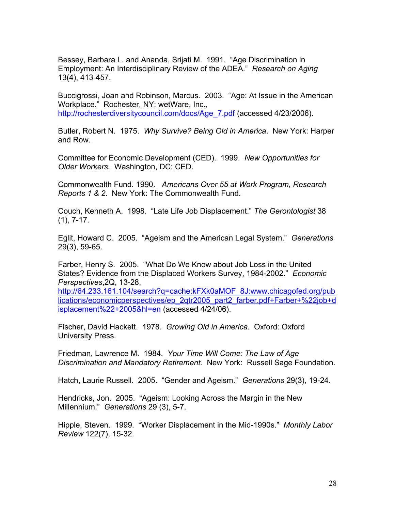Bessey, Barbara L. and Ananda, Srijati M. 1991. "Age Discrimination in Employment: An Interdisciplinary Review of the ADEA." *Research on Aging* 13(4), 413-457.

Buccigrossi, Joan and Robinson, Marcus. 2003. "Age: At Issue in the American Workplace." Rochester, NY: wetWare, Inc., http://rochesterdiversitycouncil.com/docs/Age\_7.pdf (accessed 4/23/2006).

Butler, Robert N. 1975. *Why Survive? Being Old in America*. New York: Harper and Row.

Committee for Economic Development (CED). 1999. *New Opportunities for Older Workers.* Washington, DC: CED.

Commonwealth Fund. 1990. *Americans Over 55 at Work Program, Research Reports 1 & 2*. New York: The Commonwealth Fund.

Couch, Kenneth A. 1998. "Late Life Job Displacement." *The Gerontologist* 38 (1), 7-17.

Eglit, Howard C. 2005. "Ageism and the American Legal System." *Generations* 29(3), 59-65.

Farber, Henry S. 2005. "What Do We Know about Job Loss in the United States? Evidence from the Displaced Workers Survey, 1984-2002." *Economic Perspectives*,2Q, 13-28,

http://64.233.161.104/search?q=cache:kFXk0aMOF\_8J:www.chicagofed.org/pub lications/economicperspectives/ep\_2qtr2005\_part2\_farber.pdf+Farber+%22job+d isplacement%22+2005&hl=en (accessed 4/24/06).

Fischer, David Hackett. 1978. *Growing Old in America.* Oxford: Oxford University Press.

Friedman, Lawrence M. 1984. *Your Time Will Come: The Law of Age Discrimination and Mandatory Retirement.* New York: Russell Sage Foundation.

Hatch, Laurie Russell. 2005. "Gender and Ageism." *Generations* 29(3), 19-24.

Hendricks, Jon. 2005. "Ageism: Looking Across the Margin in the New Millennium." *Generations* 29 (3), 5-7.

Hipple, Steven. 1999. "Worker Displacement in the Mid-1990s." *Monthly Labor Review* 122(7), 15-32.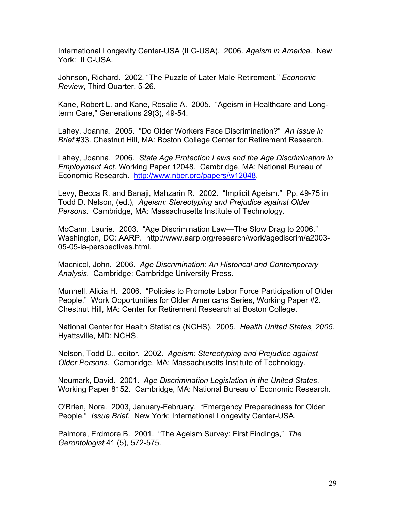International Longevity Center-USA (ILC-USA). 2006. *Ageism in America.* New York: ILC-USA.

Johnson, Richard. 2002. "The Puzzle of Later Male Retirement." *Economic Review*, Third Quarter, 5-26.

Kane, Robert L. and Kane, Rosalie A. 2005. "Ageism in Healthcare and Longterm Care," Generations 29(3), 49-54.

Lahey, Joanna. 2005. "Do Older Workers Face Discrimination?" *An Issue in Brief* #33. Chestnut Hill, MA: Boston College Center for Retirement Research.

Lahey, Joanna. 2006. *State Age Protection Laws and the Age Discrimination in Employment Act.* Working Paper 12048. Cambridge, MA: National Bureau of Economic Research. http://www.nber.org/papers/w12048.

Levy, Becca R. and Banaji, Mahzarin R. 2002. "Implicit Ageism." Pp. 49-75 in Todd D. Nelson, (ed.), *Ageism: Stereotyping and Prejudice against Older Persons.* Cambridge, MA: Massachusetts Institute of Technology.

McCann, Laurie. 2003. "Age Discrimination Law—The Slow Drag to 2006." Washington, DC: AARP. http://www.aarp.org/research/work/agediscrim/a2003- 05-05-ia-perspectives.html.

Macnicol, John. 2006. *Age Discrimination: An Historical and Contemporary Analysis.* Cambridge: Cambridge University Press.

Munnell, Alicia H. 2006. "Policies to Promote Labor Force Participation of Older People." Work Opportunities for Older Americans Series, Working Paper #2. Chestnut Hill, MA: Center for Retirement Research at Boston College.

National Center for Health Statistics (NCHS). 2005. *Health United States, 2005.* Hyattsville, MD: NCHS.

Nelson, Todd D., editor. 2002. *Ageism: Stereotyping and Prejudice against Older Persons.* Cambridge, MA: Massachusetts Institute of Technology.

Neumark, David. 2001. *Age Discrimination Legislation in the United States*. Working Paper 8152. Cambridge, MA: National Bureau of Economic Research.

O'Brien, Nora. 2003, January-February. "Emergency Preparedness for Older People*.*" *Issue Brief*. New York: International Longevity Center-USA.

Palmore, Erdmore B. 2001. "The Ageism Survey: First Findings," *The Gerontologist* 41 (5), 572-575.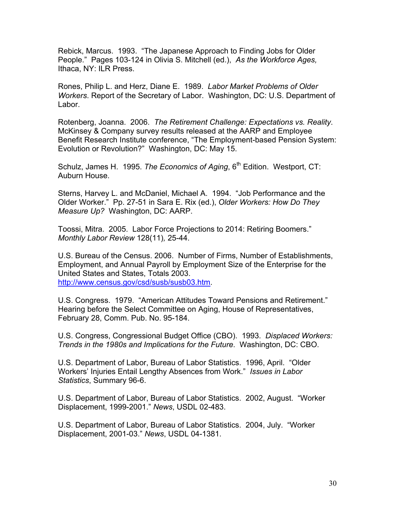Rebick, Marcus. 1993. "The Japanese Approach to Finding Jobs for Older People." Pages 103-124 in Olivia S. Mitchell (ed.), *As the Workforce Ages,*  Ithaca, NY: ILR Press.

Rones, Philip L. and Herz, Diane E. 1989. *Labor Market Problems of Older Workers*. Report of the Secretary of Labor. Washington, DC: U.S. Department of Labor.

Rotenberg, Joanna. 2006. *The Retirement Challenge: Expectations vs. Reality*. McKinsey & Company survey results released at the AARP and Employee Benefit Research Institute conference, "The Employment-based Pension System: Evolution or Revolution?" Washington, DC: May 15.

Schulz, James H. 1995. *The Economics of Aging*, 6<sup>th</sup> Edition. Westport, CT: Auburn House.

Sterns, Harvey L. and McDaniel, Michael A. 1994. "Job Performance and the Older Worker." Pp. 27-51 in Sara E. Rix (ed.), *Older Workers: How Do They Measure Up?* Washington, DC: AARP.

Toossi, Mitra. 2005. Labor Force Projections to 2014: Retiring Boomers." *Monthly Labor Review* 128(11)*,* 25-44.

U.S. Bureau of the Census. 2006. Number of Firms, Number of Establishments, Employment, and Annual Payroll by Employment Size of the Enterprise for the United States and States, Totals 2003. http://www.census.gov/csd/susb/susb03.htm.

U.S. Congress. 1979. "American Attitudes Toward Pensions and Retirement." Hearing before the Select Committee on Aging, House of Representatives, February 28, Comm. Pub. No. 95-184.

U.S. Congress, Congressional Budget Office (CBO). 1993. *Displaced Workers: Trends in the 1980s and Implications for the Future*. Washington, DC: CBO.

U.S. Department of Labor, Bureau of Labor Statistics. 1996, April. "Older Workers' Injuries Entail Lengthy Absences from Work." *Issues in Labor Statistics*, Summary 96-6.

U.S. Department of Labor, Bureau of Labor Statistics. 2002, August. "Worker Displacement, 1999-2001." *News*, USDL 02-483.

U.S. Department of Labor, Bureau of Labor Statistics. 2004, July. "Worker Displacement, 2001-03." *News*, USDL 04-1381.